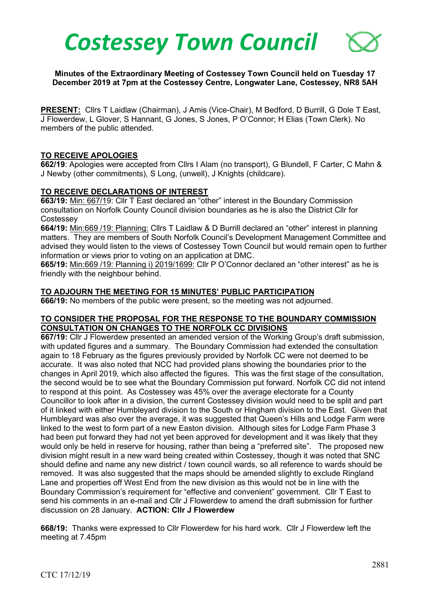# *Costessey Town Council*

**Minutes of the Extraordinary Meeting of Costessey Town Council held on Tuesday 17 December 2019 at 7pm at the Costessey Centre, Longwater Lane, Costessey, NR8 5AH**

**PRESENT:** Cllrs T Laidlaw (Chairman), J Amis (Vice-Chair), M Bedford, D Burrill, G Dole T East, J Flowerdew, L Glover, S Hannant, G Jones, S Jones, P O'Connor; H Elias (Town Clerk). No members of the public attended.

#### **TO RECEIVE APOLOGIES**

**662/19**: Apologies were accepted from Cllrs I Alam (no transport), G Blundell, F Carter, C Mahn & J Newby (other commitments), S Long, (unwell), J Knights (childcare).

#### **TO RECEIVE DECLARATIONS OF INTEREST**

**663/19:** Min: 667/19: Cllr T East declared an "other" interest in the Boundary Commission consultation on Norfolk County Council division boundaries as he is also the District Cllr for **Costessev** 

**664/19:** Min:669 /19: Planning: Cllrs T Laidlaw & D Burrill declared an "other" interest in planning matters. They are members of South Norfolk Council's Development Management Committee and advised they would listen to the views of Costessey Town Council but would remain open to further information or views prior to voting on an application at DMC.

**665/19:** Min:669 /19: Planning i) 2019/1699: Cllr P O'Connor declared an "other interest" as he is friendly with the neighbour behind.

#### **TO ADJOURN THE MEETING FOR 15 MINUTES' PUBLIC PARTICIPATION**

**666/19:** No members of the public were present, so the meeting was not adjourned.

#### **TO CONSIDER THE PROPOSAL FOR THE RESPONSE TO THE BOUNDARY COMMISSION CONSULTATION ON CHANGES TO THE NORFOLK CC DIVISIONS**

**667/19:** Cllr J Flowerdew presented an amended version of the Working Group's draft submission, with updated figures and a summary. The Boundary Commission had extended the consultation again to 18 February as the figures previously provided by Norfolk CC were not deemed to be accurate. It was also noted that NCC had provided plans showing the boundaries prior to the changes in April 2019, which also affected the figures. This was the first stage of the consultation, the second would be to see what the Boundary Commission put forward. Norfolk CC did not intend to respond at this point. As Costessey was 45% over the average electorate for a County Councillor to look after in a division, the current Costessey division would need to be split and part of it linked with either Humbleyard division to the South or Hingham division to the East. Given that Humbleyard was also over the average, it was suggested that Queen's Hills and Lodge Farm were linked to the west to form part of a new Easton division. Although sites for Lodge Farm Phase 3 had been put forward they had not yet been approved for development and it was likely that they would only be held in reserve for housing, rather than being a "preferred site". The proposed new division might result in a new ward being created within Costessey, though it was noted that SNC should define and name any new district / town council wards, so all reference to wards should be removed. It was also suggested that the maps should be amended slightly to exclude Ringland Lane and properties off West End from the new division as this would not be in line with the Boundary Commission's requirement for "effective and convenient" government. Cllr T East to send his comments in an e-mail and Cllr J Flowerdew to amend the draft submission for further discussion on 28 January. **ACTION: Cllr J Flowerdew**

**668/19:** Thanks were expressed to Cllr Flowerdew for his hard work. Cllr J Flowerdew left the meeting at 7.45pm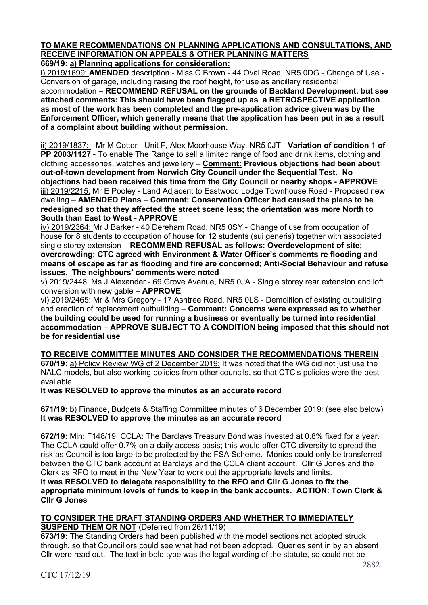# **TO MAKE RECOMMENDATIONS ON PLANNING APPLICATIONS AND CONSULTATIONS, AND RECEIVE INFORMATION ON APPEALS & OTHER PLANNING MATTERS**

**669/19: a) Planning applications for consideration:**

i) 2019/1699: **AMENDED** description - Miss C Brown - 44 Oval Road, NR5 0DG - Change of Use - Conversion of garage, including raising the roof height, for use as ancillary residential accommodation – **RECOMMEND REFUSAL on the grounds of Backland Development, but see attached comments: This should have been flagged up as a RETROSPECTIVE application as most of the work has been completed and the pre-application advice given was by the Enforcement Officer, which generally means that the application has been put in as a result of a complaint about building without permission.**

ii) 2019/1837: - Mr M Cotter - Unit F, Alex Moorhouse Way, NR5 0JT - **Variation of condition 1 of PP 2003/1127** - To enable The Range to sell a limited range of food and drink items, clothing and clothing accessories, watches and jewellery – **Comment: Previous objections had been about out-of-town development from Norwich City Council under the Sequential Test. No objections had been received this time from the City Council or nearby shops - APPROVE** iii) 2019/2215: Mr E Pooley - Land Adjacent to Eastwood Lodge Townhouse Road - Proposed new dwelling – **AMENDED Plans** – **Comment: Conservation Officer had caused the plans to be redesigned so that they affected the street scene less; the orientation was more North to South than East to West - APPROVE**

iv) 2019/2364: Mr J Barker - 40 Dereham Road, NR5 0SY - Change of use from occupation of house for 8 students to occupation of house for 12 students (sui generis) together with associated single storey extension – **RECOMMEND REFUSAL as follows: Overdevelopment of site; overcrowding; CTC agreed with Environment & Water Officer's comments re flooding and means of escape as far as flooding and fire are concerned; Anti-Social Behaviour and refuse issues. The neighbours' comments were noted**

v) 2019/2448: Ms J Alexander - 69 Grove Avenue, NR5 0JA - Single storey rear extension and loft conversion with new gable – **APPROVE**

vi) 2019/2465: Mr & Mrs Gregory - 17 Ashtree Road, NR5 0LS - Demolition of existing outbuilding and erection of replacement outbuilding – **Comment: Concerns were expressed as to whether the building could be used for running a business or eventually be turned into residential accommodation – APPROVE SUBJECT TO A CONDITION being imposed that this should not be for residential use**

**TO RECEIVE COMMITTEE MINUTES AND CONSIDER THE RECOMMENDATIONS THEREIN 670/19:** a) Policy Review WG of 2 December 2019: It was noted that the WG did not just use the NALC models, but also working policies from other councils, so that CTC's policies were the best available

**It was RESOLVED to approve the minutes as an accurate record**

**671/19:** b) Finance, Budgets & Staffing Committee minutes of 6 December 2019: (see also below) **It was RESOLVED to approve the minutes as an accurate record**

**672/19:** Min: F148/19: CCLA: The Barclays Treasury Bond was invested at 0.8% fixed for a year. The CCLA could offer 0.7% on a daily access basis; this would offer CTC diversity to spread the risk as Council is too large to be protected by the FSA Scheme. Monies could only be transferred between the CTC bank account at Barclays and the CCLA client account. Cllr G Jones and the Clerk as RFO to meet in the New Year to work out the appropriate levels and limits. **It was RESOLVED to delegate responsibility to the RFO and Cllr G Jones to fix the appropriate minimum levels of funds to keep in the bank accounts. ACTION: Town Clerk & Cllr G Jones**

# **TO CONSIDER THE DRAFT STANDING ORDERS AND WHETHER TO IMMEDIATELY SUSPEND THEM OR NOT** (Deferred from 26/11/19)

**673/19:** The Standing Orders had been published with the model sections not adopted struck through, so that Councillors could see what had not been adopted. Queries sent in by an absent Cllr were read out. The text in bold type was the legal wording of the statute, so could not be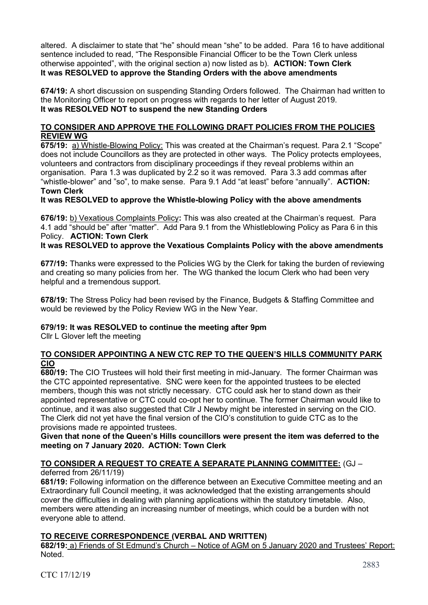altered. A disclaimer to state that "he" should mean "she" to be added. Para 16 to have additional sentence included to read, "The Responsible Financial Officer to be the Town Clerk unless otherwise appointed", with the original section a) now listed as b). **ACTION: Town Clerk It was RESOLVED to approve the Standing Orders with the above amendments**

**674/19:** A short discussion on suspending Standing Orders followed. The Chairman had written to the Monitoring Officer to report on progress with regards to her letter of August 2019. **It was RESOLVED NOT to suspend the new Standing Orders**

## **TO CONSIDER AND APPROVE THE FOLLOWING DRAFT POLICIES FROM THE POLICIES REVIEW WG**

**675/19:** a) Whistle-Blowing Policy: This was created at the Chairman's request. Para 2.1 "Scope" does not include Councillors as they are protected in other ways. The Policy protects employees, volunteers and contractors from disciplinary proceedings if they reveal problems within an organisation. Para 1.3 was duplicated by 2.2 so it was removed. Para 3.3 add commas after "whistle-blower" and "so", to make sense. Para 9.1 Add "at least" before "annually". **ACTION: Town Clerk**

**It was RESOLVED to approve the Whistle-blowing Policy with the above amendments**

**676/19:** b) Vexatious Complaints Policy**:** This was also created at the Chairman's request. Para 4.1 add "should be" after "matter". Add Para 9.1 from the Whistleblowing Policy as Para 6 in this Policy. **ACTION: Town Clerk**

# **It was RESOLVED to approve the Vexatious Complaints Policy with the above amendments**

**677/19:** Thanks were expressed to the Policies WG by the Clerk for taking the burden of reviewing and creating so many policies from her. The WG thanked the locum Clerk who had been very helpful and a tremendous support.

**678/19:** The Stress Policy had been revised by the Finance, Budgets & Staffing Committee and would be reviewed by the Policy Review WG in the New Year.

#### **679/19: It was RESOLVED to continue the meeting after 9pm**

Cllr L Glover left the meeting

#### **TO CONSIDER APPOINTING A NEW CTC REP TO THE QUEEN'S HILLS COMMUNITY PARK CIO**

**680/19:** The CIO Trustees will hold their first meeting in mid-January. The former Chairman was the CTC appointed representative. SNC were keen for the appointed trustees to be elected members, though this was not strictly necessary. CTC could ask her to stand down as their appointed representative or CTC could co-opt her to continue. The former Chairman would like to continue, and it was also suggested that Cllr J Newby might be interested in serving on the CIO. The Clerk did not yet have the final version of the CIO's constitution to guide CTC as to the provisions made re appointed trustees.

**Given that none of the Queen's Hills councillors were present the item was deferred to the meeting on 7 January 2020. ACTION: Town Clerk**

#### **TO CONSIDER A REQUEST TO CREATE A SEPARATE PLANNING COMMITTEE:** (GJ –

deferred from 26/11/19)

**681/19:** Following information on the difference between an Executive Committee meeting and an Extraordinary full Council meeting, it was acknowledged that the existing arrangements should cover the difficulties in dealing with planning applications within the statutory timetable. Also, members were attending an increasing number of meetings, which could be a burden with not everyone able to attend.

#### **TO RECEIVE CORRESPONDENCE (VERBAL AND WRITTEN)**

**682/19:** a) Friends of St Edmund's Church – Notice of AGM on 5 January 2020 and Trustees' Report: Noted.